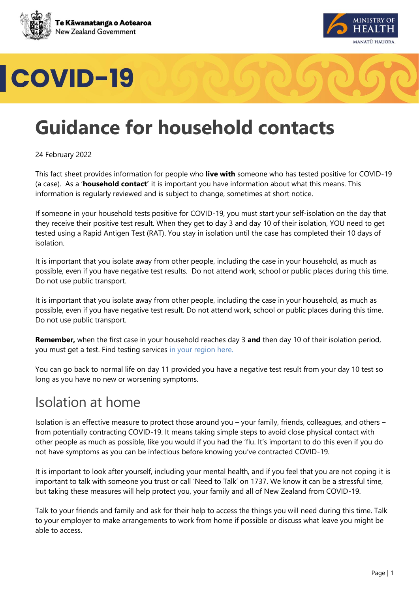





# **Guidance for household contacts**

24 February 2022

This fact sheet provides information for people who **live with** someone who has tested positive for COVID-19 (a case). As a '**household contact'** it is important you have information about what this means. This information is regularly reviewed and is subject to change, sometimes at short notice.

If someone in your household tests positive for COVID-19, you must start your self-isolation on the day that they receive their positive test result. When they get to day 3 and day 10 of their isolation, YOU need to get tested using a Rapid Antigen Test (RAT). You stay in isolation until the case has completed their 10 days of isolation.

It is important that you isolate away from other people, including the case in your household, as much as possible, even if you have negative test results. Do not attend work, school or public places during this time. Do not use public transport.

It is important that you isolate away from other people, including the case in your household, as much as possible, even if you have negative test result. Do not attend work, school or public places during this time. Do not use public transport.

**Remember,** when the first case in your household reaches day 3 **and** then day 10 of their isolation period, you must get a test. Find testing services in your region here.

You can go back to normal life on day 11 provided you have a negative test result from your day 10 test so long as you have no new or worsening symptoms.

#### Isolation at home

Isolation is an effective measure to protect those around you – your family, friends, colleagues, and others – from potentially contracting COVID-19. It means taking simple steps to avoid close physical contact with other people as much as possible, like you would if you had the 'flu. It's important to do this even if you do not have symptoms as you can be infectious before knowing you've contracted COVID-19.

It is important to look after yourself, including your mental health, and if you feel that you are not coping it is important to talk with someone you trust or call 'Need to Talk' on 1737. We know it can be a stressful time, but taking these measures will help protect you, your family and all of New Zealand from COVID-19.

Talk to your friends and family and ask for their help to access the things you will need during this time. Talk to your employer to make arrangements to work from home if possible or discuss what leave you might be able to access.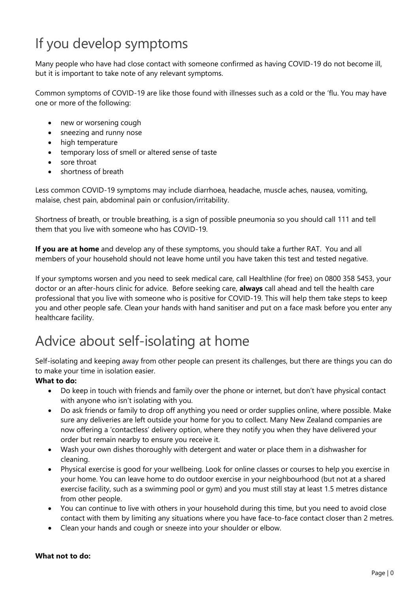# If you develop symptoms

Many people who have had close contact with someone confirmed as having COVID-19 do not become ill, but it is important to take note of any relevant symptoms.

Common symptoms of COVID-19 are like those found with illnesses such as a cold or the 'flu. You may have one or more of the following:

- new or worsening cough
- sneezing and runny nose
- high temperature
- temporary loss of smell or altered sense of taste
- sore throat
- shortness of breath

Less common COVID-19 symptoms may include diarrhoea, headache, muscle aches, nausea, vomiting, malaise, chest pain, abdominal pain or confusion/irritability.

Shortness of breath, or trouble breathing, is a sign of possible pneumonia so you should call 111 and tell them that you live with someone who has COVID-19.

**If you are at home** and develop any of these symptoms, you should take a further RAT. You and all members of your household should not leave home until you have taken this test and tested negative.

If your symptoms worsen and you need to seek medical care, call Healthline (for free) on 0800 358 5453, your doctor or an after-hours clinic for advice. Before seeking care, **always** call ahead and tell the health care professional that you live with someone who is positive for COVID-19. This will help them take steps to keep you and other people safe. Clean your hands with hand sanitiser and put on a face mask before you enter any healthcare facility.

### Advice about self-isolating at home

Self-isolating and keeping away from other people can present its challenges, but there are things you can do to make your time in isolation easier.

#### **What to do:**

- Do keep in touch with friends and family over the phone or internet, but don't have physical contact with anyone who isn't isolating with you.
- Do ask friends or family to drop off anything you need or order supplies online, where possible. Make sure any deliveries are left outside your home for you to collect. Many New Zealand companies are now offering a 'contactless' delivery option, where they notify you when they have delivered your order but remain nearby to ensure you receive it.
- Wash your own dishes thoroughly with detergent and water or place them in a dishwasher for cleaning.
- Physical exercise is good for your wellbeing. Look for online classes or courses to help you exercise in your home. You can leave home to do outdoor exercise in your neighbourhood (but not at a shared exercise facility, such as a swimming pool or gym) and you must still stay at least 1.5 metres distance from other people.
- You can continue to live with others in your household during this time, but you need to avoid close contact with them by limiting any situations where you have face-to-face contact closer than 2 metres.
- Clean your hands and cough or sneeze into your shoulder or elbow.

#### **What not to do:**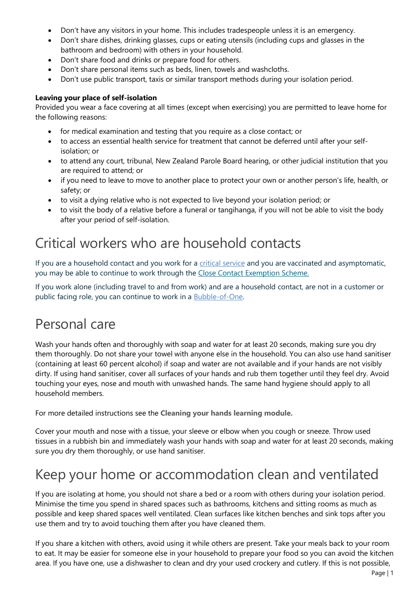- Don't have any visitors in your home. This includes tradespeople unless it is an emergency.
- Don't share dishes, drinking glasses, cups or eating utensils (including cups and glasses in the bathroom and bedroom) with others in your household.
- Don't share food and drinks or prepare food for others.
- Don't share personal items such as beds, linen, towels and washcloths.
- Don't use public transport, taxis or similar transport methods during your isolation period.

#### **Leaving your place of self-isolation**

Provided you wear a face covering at all times (except when exercising) you are permitted to leave home for the following reasons:

- for medical examination and testing that you require as a close contact; or
- to access an essential health service for treatment that cannot be deferred until after your selfisolation; or
- to attend any court, tribunal, New Zealand Parole Board hearing, or other judicial institution that you are required to attend; or
- if you need to leave to move to another place to protect your own or another person's life, health, or safety; or
- to visit a dying relative who is not expected to live beyond your isolation period; or
- to visit the body of a relative before a funeral or tangihanga, if you will not be able to visit the body after your period of self-isolation.

#### Critical workers who are household contacts

If you are a household contact and you work for a [critical service](https://www.health.govt.nz/covid-19-novel-coronavirus/covid-19-health-advice-public/assessment-and-testing-covid-19/rapid-antigen-testing#critical) and you are vaccinated and asymptomatic, you may be able to continue to work through the [Close Contact Exemption Scheme.](https://www.business.govt.nz/covid-19/close-contact-exemption-scheme/#e-29078)

If you work alone (including travel to and from work) and are a household contact, are not in a customer or public facing role, you can continue to work in a [Bubble-of-One.](https://www.business.govt.nz/covid-19/close-contact-exemption-scheme/)

### Personal care

Wash your hands often and thoroughly with soap and water for at least 20 seconds, making sure you dry them thoroughly. Do not share your towel with anyone else in the household. You can also use hand sanitiser (containing at least 60 percent alcohol) if soap and water are not available and if your hands are not visibly dirty. If using hand sanitiser, cover all surfaces of your hands and rub them together until they feel dry. Avoid touching your eyes, nose and mouth with unwashed hands. The same hand hygiene should apply to all household members.

For more detailed instructions see the **[Cleaning your hands learning module.](http://www.learnonline.health.nz/course/view.php?id=400)**

Cover your mouth and nose with a tissue, your sleeve or elbow when you cough or sneeze. Throw used tissues in a rubbish bin and immediately wash your hands with soap and water for at least 20 seconds, making sure you dry them thoroughly, or use hand sanitiser.

#### Keep your home or accommodation clean and ventilated

If you are isolating at home, you should not share a bed or a room with others during your isolation period. Minimise the time you spend in shared spaces such as bathrooms, kitchens and sitting rooms as much as possible and keep shared spaces well ventilated. Clean surfaces like kitchen benches and sink tops after you use them and try to avoid touching them after you have cleaned them.

If you share a kitchen with others, avoid using it while others are present. Take your meals back to your room to eat. It may be easier for someone else in your household to prepare your food so you can avoid the kitchen area. If you have one, use a dishwasher to clean and dry your used crockery and cutlery. If this is not possible,